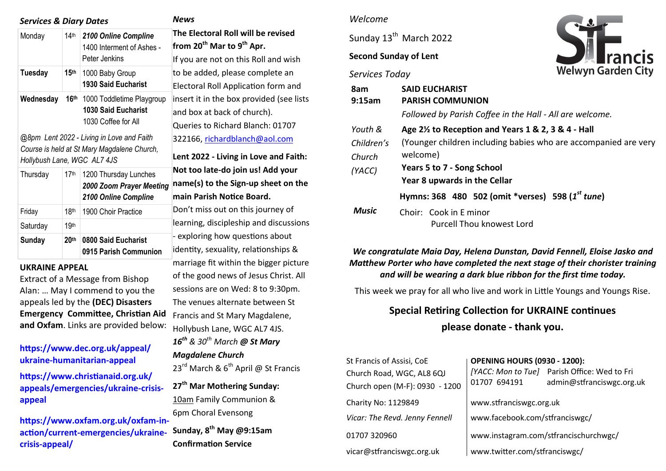| <b>Services &amp; Diary Dates</b>        | News             |                                                                                                                                                                            |                                                                                          |
|------------------------------------------|------------------|----------------------------------------------------------------------------------------------------------------------------------------------------------------------------|------------------------------------------------------------------------------------------|
| Monday                                   | $14$ th          | 2100 Online Compline<br>1400 Interment of Ashes -<br>Peter Jenkins                                                                                                         | <b>The Electoral</b><br>from 20 <sup>th</sup> Mar<br>If you are not                      |
| <b>Tuesday</b>                           | 15 <sup>th</sup> | 1000 Baby Group<br><b>1930 Said Eucharist</b>                                                                                                                              | to be added, p<br>Electoral Roll                                                         |
| Wednesday<br>Hollybush Lane, WGC AL7 4JS | 16 <sup>th</sup> | 1000 Toddletime Playgroup<br><b>1030 Said Eucharist</b><br>1030 Coffee for All<br>@8pm Lent 2022 - Living in Love and Faith<br>Course is held at St Mary Magdalene Church, | insert it in the<br>and box at ba<br>Queries to Ric<br>322166, richar<br>Lent 2022 - Liv |
| Thursday                                 | 17th             | 1200 Thursday Lunches<br>2000 Zoom Prayer Meeting<br>2100 Online Compline                                                                                                  | Not too late-d<br>name(s) to the<br>main Parish N                                        |
| Friday                                   | 18th             | 1900 Choir Practice                                                                                                                                                        | Don't miss out                                                                           |
| Saturday                                 | 19th             |                                                                                                                                                                            | learning, disci                                                                          |
| Sunday                                   | 20 <sup>th</sup> | 0800 Said Eucharist<br>0915 Parish Communion                                                                                                                               | - exploring ho<br>identity, sexua                                                        |

#### **UKRAINE APPEAL**

Extract of a Message from Bishop Alan: … May I commend to you the appeals led by the **(DEC) Disasters Emergency Committee, Christian Aid and Oxfam**. Links are provided below:

### **[https://www.dec.org.uk/appeal/](https://anglican.us1.list-manage.com/track/click?u=a47f5026eff04afcd10f4be32&id=eca4fb2ebd&e=9bd968f2dc) ukraine-[humanitarian](https://anglican.us1.list-manage.com/track/click?u=a47f5026eff04afcd10f4be32&id=eca4fb2ebd&e=9bd968f2dc)-appeal**

**[https://www.christianaid.org.uk/](https://anglican.us1.list-manage.com/track/click?u=a47f5026eff04afcd10f4be32&id=eeb2143e96&e=9bd968f2dc) [appeals/emergencies/ukraine](https://anglican.us1.list-manage.com/track/click?u=a47f5026eff04afcd10f4be32&id=eeb2143e96&e=9bd968f2dc)-crisis[appeal](https://anglican.us1.list-manage.com/track/click?u=a47f5026eff04afcd10f4be32&id=eeb2143e96&e=9bd968f2dc)**

**[https://www.oxfam.org.uk/oxfam](https://anglican.us1.list-manage.com/track/click?u=a47f5026eff04afcd10f4be32&id=95c6ec04f0&e=9bd968f2dc)-inaction/current-[emergencies/ukraine](https://anglican.us1.list-manage.com/track/click?u=a47f5026eff04afcd10f4be32&id=95c6ec04f0&e=9bd968f2dc)crisis-[appeal/](https://anglican.us1.list-manage.com/track/click?u=a47f5026eff04afcd10f4be32&id=95c6ec04f0&e=9bd968f2dc)**

**Roll will be revised from 20th Mar to 9th Apr.** on this Roll and wish please complete an Application form and box provided (see lists ck of church).

hard Blanch: 01707: rdblanch@aol.com

**Lent 2022 - Living in Love and Faith: Not too late-do join us! Add your name(s) to the Sign-up sheet on the**  *<u>Iotice Board.</u>* 

t on this journey of pleship and discussions w questions about ality, relationships & marriage fit within the bigger picture of the good news of Jesus Christ. All sessions are on Wed: 8 to 9:30pm. The venues alternate between St Francis and St Mary Magdalene, Hollybush Lane, WGC AL7 4JS. *16th & 30th March @ St Mary Magdalene Church*  23<sup>rd</sup> March &  $6<sup>th</sup>$  April @ St Francis **27th Mar Mothering Sunday:**  10am Family Communion & 6pm Choral Evensong

**Sunday, 8th May @9:15am Confirmation Service** 

#### *Welcome*

Sunday 13<sup>th</sup> March 2022

## **Second Sunday of Lent**

*Services Today*



| 8am<br>9:15am | <b>SAID EUCHARIST</b><br><b>PARISH COMMUNION</b>                |  |  |  |  |  |
|---------------|-----------------------------------------------------------------|--|--|--|--|--|
|               | Followed by Parish Coffee in the Hall - All are welcome.        |  |  |  |  |  |
| Youth &       | Age 2 <sup>1/2</sup> to Reception and Years 1 & 2, 3 & 4 - Hall |  |  |  |  |  |
| Children's    | (Younger children including babies who are accompanied are very |  |  |  |  |  |
| Church        | welcome)                                                        |  |  |  |  |  |
| (YACC)        | Years 5 to 7 - Song School                                      |  |  |  |  |  |
|               | Year 8 upwards in the Cellar                                    |  |  |  |  |  |
|               | Hymns: 368 480 502 (omit *verses) 598 (1 <sup>st</sup> tune)    |  |  |  |  |  |
| <b>Music</b>  | Choir: Cook in E minor<br>Purcell Thou knowest Lord             |  |  |  |  |  |

*We congratulate Maia Day, Helena Dunstan, David Fennell, Eloise Jasko and Matthew Porter who have completed the next stage of their chorister training and will be wearing a dark blue ribbon for the first time today.*

This week we pray for all who live and work in Little Youngs and Youngs Rise.

# **Special Retiring Collection for UKRAINE continues please donate - thank you.**

| St Francis of Assisi, CoE<br>Church Road, WGC, AL8 6QJ<br>Church open (M-F): 0930 - 1200 | <b>OPENING HOURS (0930 - 1200):</b><br>01707 694191 | [YACC: Mon to Tue] Parish Office: Wed to Fri<br>admin@stfranciswgc.org.uk |  |
|------------------------------------------------------------------------------------------|-----------------------------------------------------|---------------------------------------------------------------------------|--|
| Charity No: 1129849                                                                      | www.stfranciswgc.org.uk                             |                                                                           |  |
| Vicar: The Revd. Jenny Fennell                                                           | www.facebook.com/stfranciswgc/                      |                                                                           |  |
| 01707 320960                                                                             | www.instagram.com/stfrancischurchwgc/               |                                                                           |  |
| vicar@stfranciswgc.org.uk                                                                | www.twitter.com/stfranciswgc/                       |                                                                           |  |